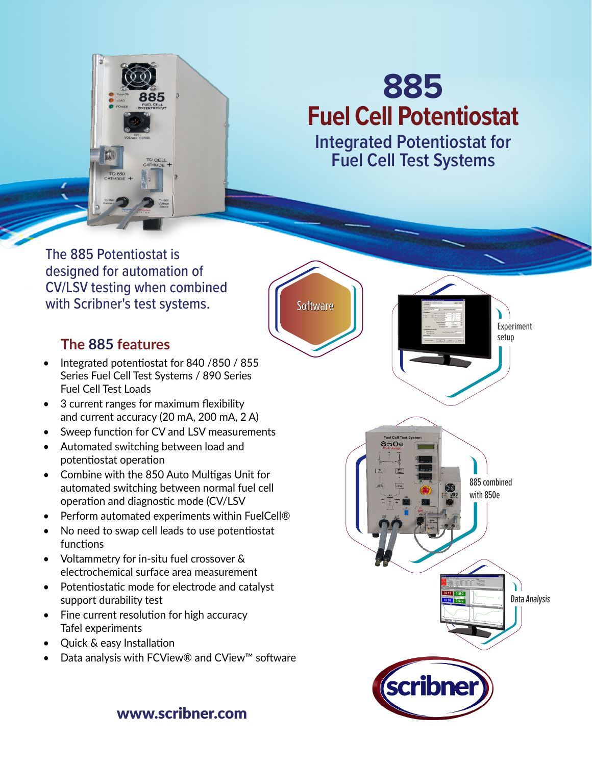

## **885 Fuel Cell Potentiostat**

**Integrated Potentiostat for Fuel Cell Test Systems**

The 885 Potentiostat is designed for automation of CV/LSV testing when combined with Scribner's test systems.

## **The 885 features**

- Integrated potentiostat for 840 /850 / 855 Series Fuel Cell Test Systems / 890 Series Fuel Cell Test Loads
- 3 current ranges for maximum flexibility and current accuracy (20 mA, 200 mA, 2 A)
- Sweep function for CV and LSV measurements
- Automated switching between load and potentiostat operation
- Combine with the 850 Auto Multigas Unit for automated switching between normal fuel cell operation and diagnostic mode (CV/LSV
- Perform automated experiments within FuelCell®
- No need to swap cell leads to use potentiostat functions
- Voltammetry for in-situ fuel crossover & electrochemical surface area measurement
- Potentiostatic mode for electrode and catalyst support durability test
- Fine current resolution for high accuracy Tafel experiments
- Quick & easy Installation
- Data analysis with FCView® and CView™ software

**Software** Υ Experiment setup **850e**  $\overline{a}$ 885 combined with 850e  $12 | 0.500$ Data Analysis scribne

www.scribner.com